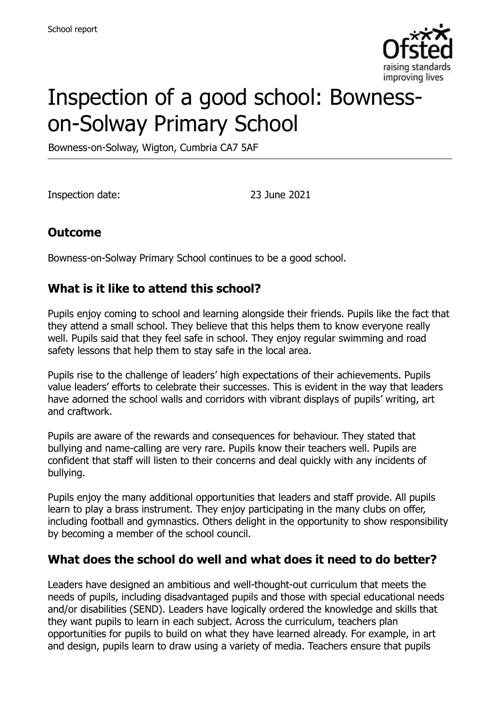

# Inspection of a good school: Bownesson-Solway Primary School

Bowness-on-Solway, Wigton, Cumbria CA7 5AF

Inspection date: 23 June 2021

## **Outcome**

Bowness-on-Solway Primary School continues to be a good school.

## **What is it like to attend this school?**

Pupils enjoy coming to school and learning alongside their friends. Pupils like the fact that they attend a small school. They believe that this helps them to know everyone really well. Pupils said that they feel safe in school. They enjoy regular swimming and road safety lessons that help them to stay safe in the local area.

Pupils rise to the challenge of leaders' high expectations of their achievements. Pupils value leaders' efforts to celebrate their successes. This is evident in the way that leaders have adorned the school walls and corridors with vibrant displays of pupils' writing, art and craftwork.

Pupils are aware of the rewards and consequences for behaviour. They stated that bullying and name-calling are very rare. Pupils know their teachers well. Pupils are confident that staff will listen to their concerns and deal quickly with any incidents of bullying.

Pupils enjoy the many additional opportunities that leaders and staff provide. All pupils learn to play a brass instrument. They enjoy participating in the many clubs on offer, including football and gymnastics. Others delight in the opportunity to show responsibility by becoming a member of the school council.

#### **What does the school do well and what does it need to do better?**

Leaders have designed an ambitious and well-thought-out curriculum that meets the needs of pupils, including disadvantaged pupils and those with special educational needs and/or disabilities (SEND). Leaders have logically ordered the knowledge and skills that they want pupils to learn in each subject. Across the curriculum, teachers plan opportunities for pupils to build on what they have learned already. For example, in art and design, pupils learn to draw using a variety of media. Teachers ensure that pupils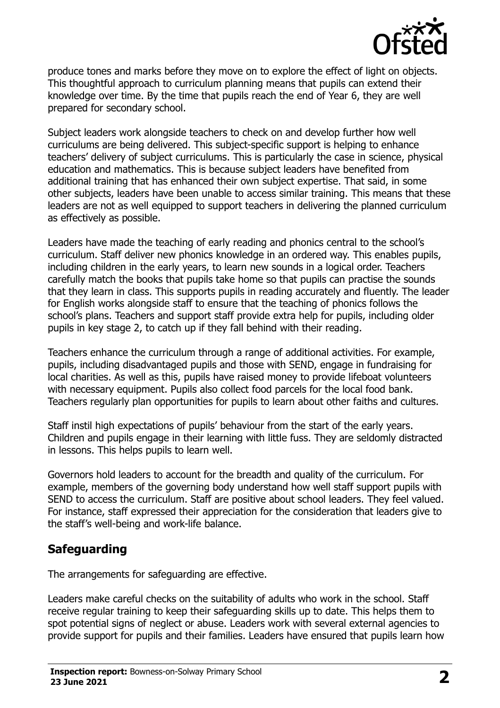

produce tones and marks before they move on to explore the effect of light on objects. This thoughtful approach to curriculum planning means that pupils can extend their knowledge over time. By the time that pupils reach the end of Year 6, they are well prepared for secondary school.

Subject leaders work alongside teachers to check on and develop further how well curriculums are being delivered. This subject-specific support is helping to enhance teachers' delivery of subject curriculums. This is particularly the case in science, physical education and mathematics. This is because subject leaders have benefited from additional training that has enhanced their own subject expertise. That said, in some other subjects, leaders have been unable to access similar training. This means that these leaders are not as well equipped to support teachers in delivering the planned curriculum as effectively as possible.

Leaders have made the teaching of early reading and phonics central to the school's curriculum. Staff deliver new phonics knowledge in an ordered way. This enables pupils, including children in the early years, to learn new sounds in a logical order. Teachers carefully match the books that pupils take home so that pupils can practise the sounds that they learn in class. This supports pupils in reading accurately and fluently. The leader for English works alongside staff to ensure that the teaching of phonics follows the school's plans. Teachers and support staff provide extra help for pupils, including older pupils in key stage 2, to catch up if they fall behind with their reading.

Teachers enhance the curriculum through a range of additional activities. For example, pupils, including disadvantaged pupils and those with SEND, engage in fundraising for local charities. As well as this, pupils have raised money to provide lifeboat volunteers with necessary equipment. Pupils also collect food parcels for the local food bank. Teachers regularly plan opportunities for pupils to learn about other faiths and cultures.

Staff instil high expectations of pupils' behaviour from the start of the early years. Children and pupils engage in their learning with little fuss. They are seldomly distracted in lessons. This helps pupils to learn well.

Governors hold leaders to account for the breadth and quality of the curriculum. For example, members of the governing body understand how well staff support pupils with SEND to access the curriculum. Staff are positive about school leaders. They feel valued. For instance, staff expressed their appreciation for the consideration that leaders give to the staff's well-being and work-life balance.

#### **Safeguarding**

The arrangements for safeguarding are effective.

Leaders make careful checks on the suitability of adults who work in the school. Staff receive regular training to keep their safeguarding skills up to date. This helps them to spot potential signs of neglect or abuse. Leaders work with several external agencies to provide support for pupils and their families. Leaders have ensured that pupils learn how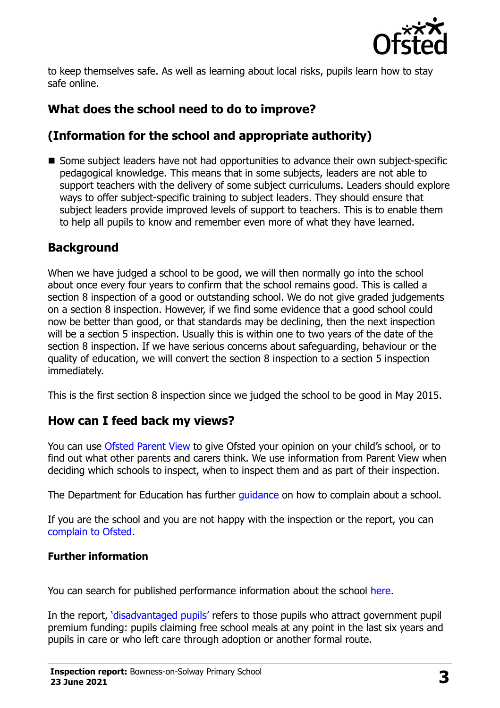

to keep themselves safe. As well as learning about local risks, pupils learn how to stay safe online.

# **What does the school need to do to improve?**

# **(Information for the school and appropriate authority)**

■ Some subject leaders have not had opportunities to advance their own subject-specific pedagogical knowledge. This means that in some subjects, leaders are not able to support teachers with the delivery of some subject curriculums. Leaders should explore ways to offer subject-specific training to subject leaders. They should ensure that subject leaders provide improved levels of support to teachers. This is to enable them to help all pupils to know and remember even more of what they have learned.

## **Background**

When we have judged a school to be good, we will then normally go into the school about once every four years to confirm that the school remains good. This is called a section 8 inspection of a good or outstanding school. We do not give graded judgements on a section 8 inspection. However, if we find some evidence that a good school could now be better than good, or that standards may be declining, then the next inspection will be a section 5 inspection. Usually this is within one to two years of the date of the section 8 inspection. If we have serious concerns about safeguarding, behaviour or the quality of education, we will convert the section 8 inspection to a section 5 inspection immediately.

This is the first section 8 inspection since we judged the school to be good in May 2015.

#### **How can I feed back my views?**

You can use Ofsted Parent View to give Ofsted your opinion on your child's school, or to find out what other parents and carers think. We use information from Parent View when deciding which schools to inspect, when to inspect them and as part of their inspection.

The Department for Education has further quidance on how to complain about a school.

If you are the school and you are not happy with the inspection or the report, you can complain to Ofsted.

#### **Further information**

You can search for published performance information about the school here.

In the report, 'disadvantaged pupils' refers to those pupils who attract government pupil premium funding: pupils claiming free school meals at any point in the last six years and pupils in care or who left care through adoption or another formal route.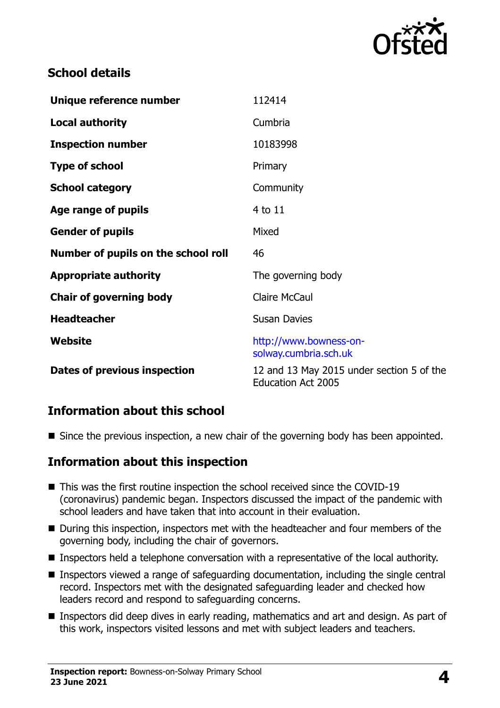

## **School details**

| Unique reference number             | 112414                                                                 |
|-------------------------------------|------------------------------------------------------------------------|
| <b>Local authority</b>              | Cumbria                                                                |
| <b>Inspection number</b>            | 10183998                                                               |
| <b>Type of school</b>               | Primary                                                                |
| <b>School category</b>              | Community                                                              |
| Age range of pupils                 | 4 to 11                                                                |
| <b>Gender of pupils</b>             | Mixed                                                                  |
| Number of pupils on the school roll | 46                                                                     |
| <b>Appropriate authority</b>        | The governing body                                                     |
| <b>Chair of governing body</b>      | <b>Claire McCaul</b>                                                   |
| <b>Headteacher</b>                  | <b>Susan Davies</b>                                                    |
| <b>Website</b>                      | http://www.bowness-on-<br>solway.cumbria.sch.uk                        |
| Dates of previous inspection        | 12 and 13 May 2015 under section 5 of the<br><b>Education Act 2005</b> |

#### **Information about this school**

Since the previous inspection, a new chair of the governing body has been appointed.

#### **Information about this inspection**

- This was the first routine inspection the school received since the COVID-19 (coronavirus) pandemic began. Inspectors discussed the impact of the pandemic with school leaders and have taken that into account in their evaluation.
- During this inspection, inspectors met with the headteacher and four members of the governing body, including the chair of governors.
- Inspectors held a telephone conversation with a representative of the local authority.
- Inspectors viewed a range of safeguarding documentation, including the single central record. Inspectors met with the designated safeguarding leader and checked how leaders record and respond to safeguarding concerns.
- Inspectors did deep dives in early reading, mathematics and art and design. As part of this work, inspectors visited lessons and met with subject leaders and teachers.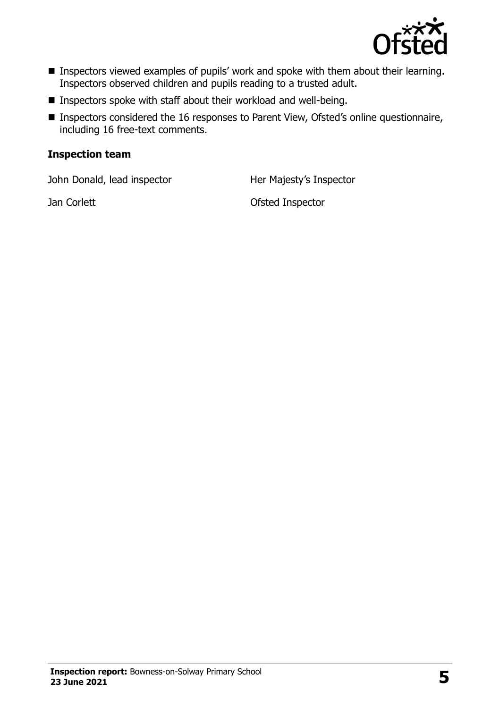

- **Inspectors viewed examples of pupils' work and spoke with them about their learning.** Inspectors observed children and pupils reading to a trusted adult.
- **Inspectors spoke with staff about their workload and well-being.**
- Inspectors considered the 16 responses to Parent View, Ofsted's online questionnaire, including 16 free-text comments.

#### **Inspection team**

John Donald, lead inspector **Her Majesty's Inspector** 

Jan Corlett **Disk Corpus** Corlett **Ofsted Inspector**